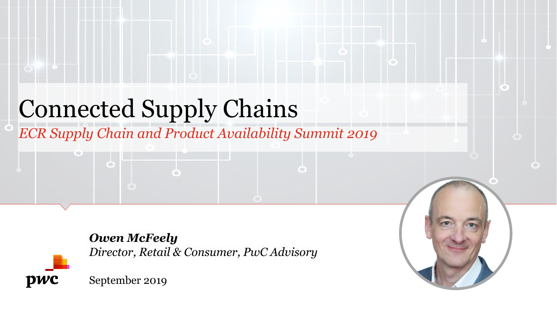# Connected Supply Chains

*ECR Supply Chain and Product Availability Summit 2019*



*Owen McFeely Director, Retail & Consumer, PwC Advisory*

September 2019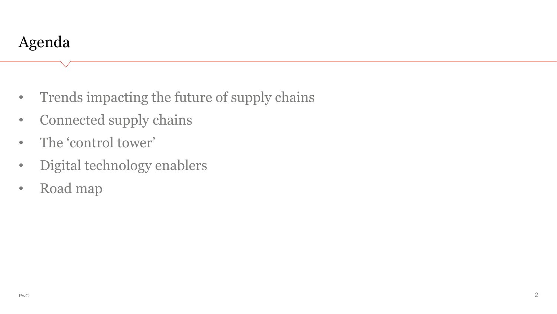- Trends impacting the future of supply chains
- Connected supply chains
- The 'control tower'
- Digital technology enablers
- Road map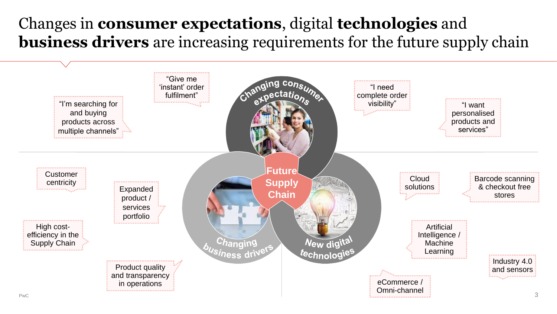### Changes in **consumer expectations**, digital **technologies** and **business drivers** are increasing requirements for the future supply chain

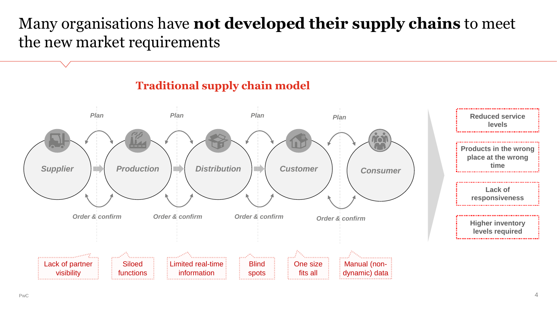#### Many organisations have **not developed their supply chains** to meet the new market requirements

#### *Plan Plan Plan* **Reduced service**  *Plan* **levels Products in the wrong place at the wrong time** *Supplier Production Distribution Customer Consumer* **Lack of responsiveness** *Order & confirm Order & confirm Order & confirm Order & confirm* **Higher inventory levels required** .<br>\*----------------**Technological** Lack of partner **Siloed** Limited real-time **Blind** One size Manual (nonvisibility information dynamic) dataspots fits all functions

#### **Traditional supply chain model**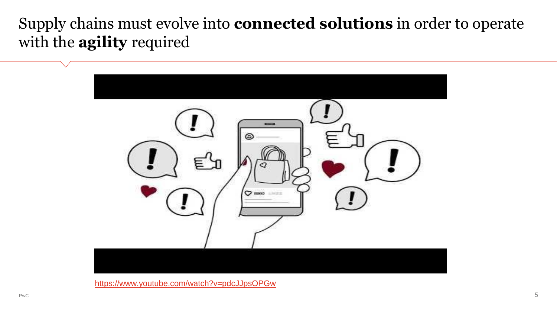Supply chains must evolve into **connected solutions** in order to operate with the **agility** required



<https://www.youtube.com/watch?v=pdcJJpsOPGw>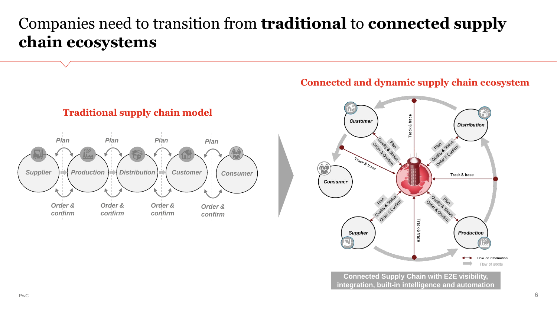#### Companies need to transition from **traditional** to **connected supply chain ecosystems**



**Traditional supply chain model**

#### **Connected and dynamic supply chain ecosystem**



**Connected Supply Chain with E2E visibility, integration, built-in intelligence and automation**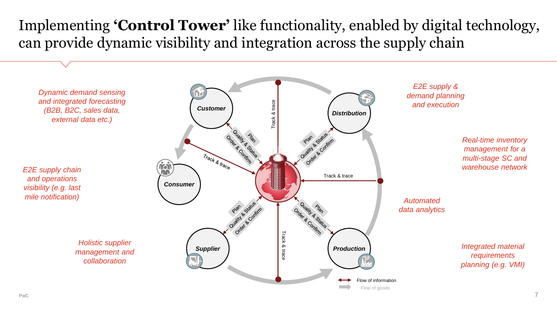#### Implementing **'Control Tower'** like functionality, enabled by digital technology, can provide dynamic visibility and integration across the supply chain

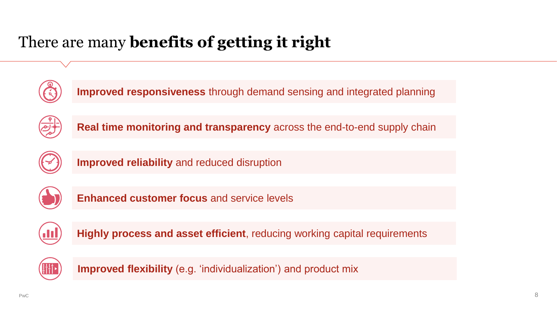## There are many **benefits of getting it right**



**Improved responsiveness** through demand sensing and integrated planning



**Real time monitoring and transparency** across the end-to-end supply chain



**Improved reliability** and reduced disruption



**Enhanced customer focus** and service levels



**Highly process and asset efficient**, reducing working capital requirements



**Improved flexibility** (e.g. 'individualization') and product mix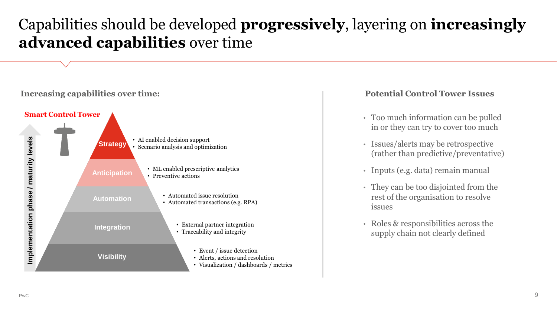#### Capabilities should be developed **progressively**, layering on **increasingly advanced capabilities** over time



#### **Potential Control Tower Issues**

- Too much information can be pulled in or they can try to cover too much
- Issues/alerts may be retrospective (rather than predictive/preventative)
- Inputs (e.g. data) remain manual
- They can be too disjointed from the rest of the organisation to resolve issues
- Roles & responsibilities across the supply chain not clearly defined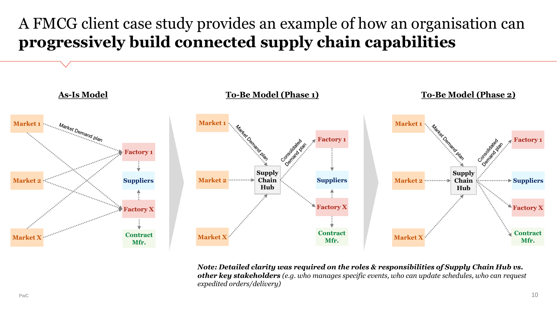### A FMCG client case study provides an example of how an organisation can **progressively build connected supply chain capabilities**



*Note: Detailed clarity was required on the roles & responsibilities of Supply Chain Hub vs. other key stakeholders (e.g. who manages specific events, who can update schedules, who can request expedited orders/delivery)*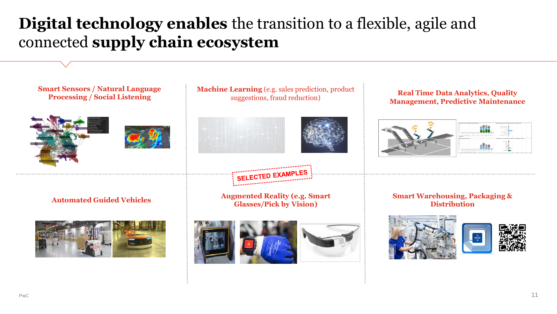#### **Digital technology enables** the transition to a flexible, agile and connected **supply chain ecosystem**

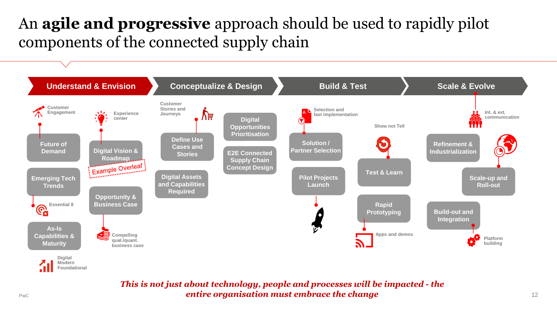### An **agile and progressive** approach should be used to rapidly pilot components of the connected supply chain



*This is not just about technology, people and processes will be impacted - the entire organisation must embrace the change*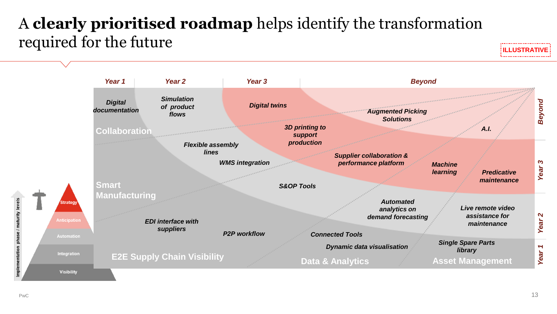### A **clearly prioritised roadmap** helps identify the transformation required for the future



Implementation phase / maturity levels

............................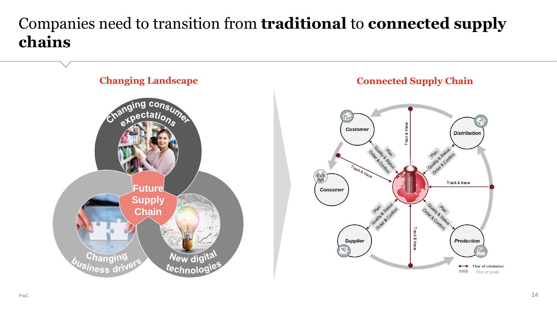#### Companies need to transition from **traditional** to **connected supply chains**